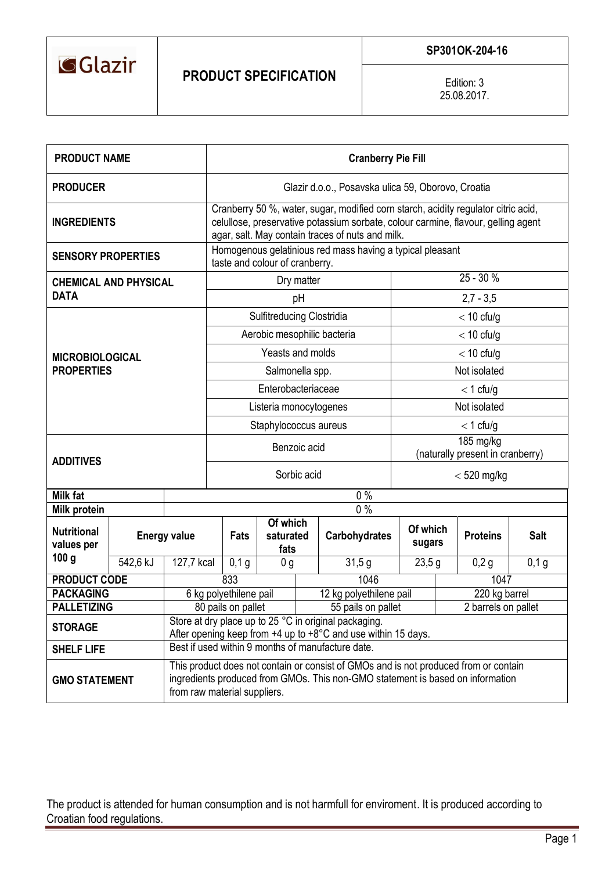

Edition: 3 25.08.2017.

| <b>PRODUCT NAME</b>              |                     |                                                                                                                                                                                                        | <b>Cranberry Pie Fill</b>                                                                                                                                                                                                   |                                  |               |                      |                    |                     |                 |             |  |
|----------------------------------|---------------------|--------------------------------------------------------------------------------------------------------------------------------------------------------------------------------------------------------|-----------------------------------------------------------------------------------------------------------------------------------------------------------------------------------------------------------------------------|----------------------------------|---------------|----------------------|--------------------|---------------------|-----------------|-------------|--|
| <b>PRODUCER</b>                  |                     |                                                                                                                                                                                                        | Glazir d.o.o., Posavska ulica 59, Oborovo, Croatia                                                                                                                                                                          |                                  |               |                      |                    |                     |                 |             |  |
| <b>INGREDIENTS</b>               |                     |                                                                                                                                                                                                        | Cranberry 50 %, water, sugar, modified corn starch, acidity regulator citric acid,<br>celullose, preservative potassium sorbate, colour carmine, flavour, gelling agent<br>agar, salt. May contain traces of nuts and milk. |                                  |               |                      |                    |                     |                 |             |  |
| <b>SENSORY PROPERTIES</b>        |                     |                                                                                                                                                                                                        | Homogenous gelatinious red mass having a typical pleasant<br>taste and colour of cranberry.                                                                                                                                 |                                  |               |                      |                    |                     |                 |             |  |
| <b>CHEMICAL AND PHYSICAL</b>     |                     |                                                                                                                                                                                                        |                                                                                                                                                                                                                             | Dry matter                       | $25 - 30%$    |                      |                    |                     |                 |             |  |
| <b>DATA</b>                      |                     |                                                                                                                                                                                                        |                                                                                                                                                                                                                             | $2,7 - 3,5$                      |               |                      |                    |                     |                 |             |  |
|                                  |                     |                                                                                                                                                                                                        |                                                                                                                                                                                                                             | Sulfitreducing Clostridia        | $<$ 10 cfu/g  |                      |                    |                     |                 |             |  |
|                                  |                     |                                                                                                                                                                                                        |                                                                                                                                                                                                                             | Aerobic mesophilic bacteria      | $<$ 10 cfu/g  |                      |                    |                     |                 |             |  |
| <b>MICROBIOLOGICAL</b>           |                     | Yeasts and molds                                                                                                                                                                                       |                                                                                                                                                                                                                             |                                  |               | $<$ 10 cfu/g         |                    |                     |                 |             |  |
| <b>PROPERTIES</b>                |                     | Salmonella spp.                                                                                                                                                                                        |                                                                                                                                                                                                                             |                                  |               | Not isolated         |                    |                     |                 |             |  |
|                                  |                     | Enterobacteriaceae                                                                                                                                                                                     |                                                                                                                                                                                                                             |                                  |               | $<$ 1 cfu/g          |                    |                     |                 |             |  |
|                                  |                     |                                                                                                                                                                                                        |                                                                                                                                                                                                                             | Listeria monocytogenes           | Not isolated  |                      |                    |                     |                 |             |  |
|                                  |                     |                                                                                                                                                                                                        | Staphylococcus aureus                                                                                                                                                                                                       |                                  |               |                      | $<$ 1 cfu/g        |                     |                 |             |  |
|                                  |                     |                                                                                                                                                                                                        |                                                                                                                                                                                                                             | Benzoic acid                     | 185 mg/kg     |                      |                    |                     |                 |             |  |
| <b>ADDITIVES</b>                 |                     |                                                                                                                                                                                                        |                                                                                                                                                                                                                             | (naturally present in cranberry) |               |                      |                    |                     |                 |             |  |
|                                  |                     |                                                                                                                                                                                                        |                                                                                                                                                                                                                             | Sorbic acid                      | $<$ 520 mg/kg |                      |                    |                     |                 |             |  |
| <b>Milk fat</b>                  | $0\%$               |                                                                                                                                                                                                        |                                                                                                                                                                                                                             |                                  |               |                      |                    |                     |                 |             |  |
| <b>Milk protein</b>              |                     |                                                                                                                                                                                                        | $0\%$<br>Of which                                                                                                                                                                                                           |                                  |               |                      |                    |                     |                 |             |  |
| <b>Nutritional</b><br>values per | <b>Energy value</b> |                                                                                                                                                                                                        | Fats                                                                                                                                                                                                                        | saturated<br>fats                |               | <b>Carbohydrates</b> | Of which<br>sugars |                     | <b>Proteins</b> | <b>Salt</b> |  |
| 100 <sub>g</sub>                 | 542,6 kJ            | 127,7 kcal                                                                                                                                                                                             | 0,1,9                                                                                                                                                                                                                       | 0 <sub>g</sub>                   |               | 31,5g                | 23,5g              |                     | 0,2g            | 0,1g        |  |
| <b>PRODUCT CODE</b>              |                     |                                                                                                                                                                                                        | 833                                                                                                                                                                                                                         |                                  |               | 1046                 |                    |                     | 1047            |             |  |
| <b>PACKAGING</b>                 |                     | 6 kg polyethilene pail                                                                                                                                                                                 | 12 kg polyethilene pail                                                                                                                                                                                                     |                                  |               | 220 kg barrel        |                    |                     |                 |             |  |
| <b>PALLETIZING</b>               |                     |                                                                                                                                                                                                        | 80 pails on pallet                                                                                                                                                                                                          |                                  |               | 55 pails on pallet   |                    | 2 barrels on pallet |                 |             |  |
| <b>STORAGE</b>                   |                     | Store at dry place up to 25 °C in original packaging.<br>After opening keep from $+4$ up to $+8^{\circ}$ C and use within 15 days.                                                                     |                                                                                                                                                                                                                             |                                  |               |                      |                    |                     |                 |             |  |
| <b>SHELF LIFE</b>                |                     | Best if used within 9 months of manufacture date.                                                                                                                                                      |                                                                                                                                                                                                                             |                                  |               |                      |                    |                     |                 |             |  |
| <b>GMO STATEMENT</b>             |                     | This product does not contain or consist of GMOs and is not produced from or contain<br>ingredients produced from GMOs. This non-GMO statement is based on information<br>from raw material suppliers. |                                                                                                                                                                                                                             |                                  |               |                      |                    |                     |                 |             |  |

The product is attended for human consumption and is not harmfull for enviroment. It is produced according to Croatian food regulations.